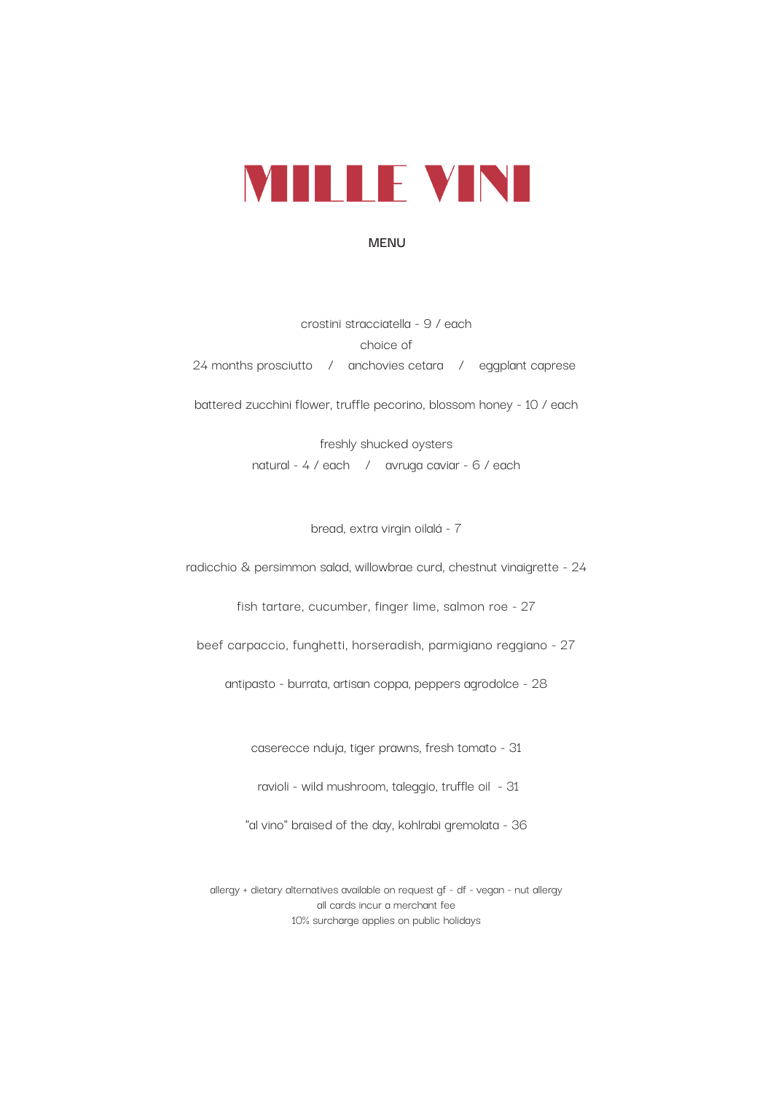

## **MENU**

crostini stracciatella - 9 / each choice of 24 months prosciutto / anchovies cetara / eggplant caprese battered zucchini flower, truffle pecorino, blossom honey - 10 / each

> freshly shucked oysters natural - 4 / each / avruga caviar - 6 / each

> > bread, extra virgin oilalá - 7

radicchio & persimmon salad, willowbrae curd, chestnut vinaigrette - 24

fish tartare, cucumber, finger lime, salmon roe - 27

beef carpaccio, funghetti, horseradish, parmigiano reggiano - 27

antipasto - burrata, artisan coppa, peppers agrodolce - 28

caserecce nduja, tiger prawns, fresh tomato - 31

ravioli - wild mushroom, taleggio, truffle oil - 31

"al vino" braised of the day, kohlrabi gremolata - 36

allergy + dietary alternatives available on request gf - df - vegan - nut allergy all cards incur a merchant fee 10% surcharge applies on public holidays